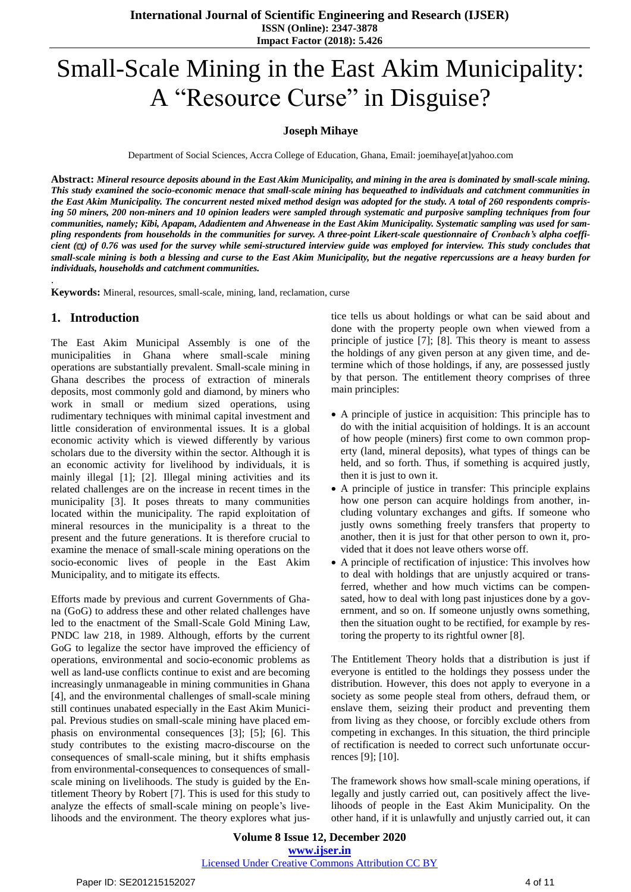**International Journal of Scientific Engineering and Research (IJSER) ISSN (Online): 2347-3878 Impact Factor (2018): 5.426**

# Small-Scale Mining in the East Akim Municipality: A "Resource Curse" in Disguise?

#### **Joseph Mihaye**

Department of Social Sciences, Accra College of Education, Ghana, Email: joemihaye[at]yahoo.com

Abstract: Mineral resource deposits abound in the East Akim Municipality, and mining in the area is dominated by small-scale mining. This study examined the socio-economic menace that small-scale mining has bequeathed to individuals and catchment communities in the East Akim Municipality. The concurrent nested mixed method design was adopted for the study. A total of 260 respondents comprising 50 miners, 200 non-miners and 10 opinion leaders were sampled through systematic and purposive sampling techniques from four communities, namely; Kibi, Apapam, Adadientem and Ahwenease in the East Akim Municipality. Systematic sampling was used for sampling respondents from households in the communities for survey. A three-point Likert-scale questionnaire of Cronbach's alpha coefficient  $(\alpha)$  of 0.76 was used for the survey while semi-structured interview guide was employed for interview. This study concludes that small-scale mining is both a blessing and curse to the East Akim Municipality, but the negative repercussions are a heavy burden for *individuals, households and catchment communities.*

**Keywords:** Mineral, resources, small-scale, mining, land, reclamation, curse

### **1. Introduction**

.

The East Akim Municipal Assembly is one of the municipalities in Ghana where small-scale mining operations are substantially prevalent. Small-scale mining in Ghana describes the process of extraction of minerals deposits, most commonly gold and diamond, by miners who work in small or medium sized operations, using rudimentary techniques with minimal capital investment and little consideration of environmental issues. It is a global economic activity which is viewed differently by various scholars due to the diversity within the sector. Although it is an economic activity for livelihood by individuals, it is mainly illegal [1]; [2]. Illegal mining activities and its related challenges are on the increase in recent times in the municipality [3]. It poses threats to many communities located within the municipality. The rapid exploitation of mineral resources in the municipality is a threat to the present and the future generations. It is therefore crucial to examine the menace of small-scale mining operations on the socio-economic lives of people in the East Akim Municipality, and to mitigate its effects.

Efforts made by previous and current Governments of Ghana (GoG) to address these and other related challenges have led to the enactment of the Small-Scale Gold Mining Law, PNDC law 218, in 1989. Although, efforts by the current GoG to legalize the sector have improved the efficiency of operations, environmental and socio-economic problems as well as land-use conflicts continue to exist and are becoming increasingly unmanageable in mining communities in Ghana [4], and the environmental challenges of small-scale mining still continues unabated especially in the East Akim Municipal. Previous studies on small-scale mining have placed emphasis on environmental consequences [3]; [5]; [6]. This study contributes to the existing macro-discourse on the consequences of small-scale mining, but it shifts emphasis from environmental-consequences to consequences of smallscale mining on livelihoods. The study is guided by the Entitlement Theory by Robert [7]. This is used for this study to analyze the effects of small-scale mining on people's livelihoods and the environment. The theory explores what justice tells us about holdings or what can be said about and done with the property people own when viewed from a principle of justice [7]; [8]. This theory is meant to assess the holdings of any given person at any given time, and determine which of those holdings, if any, are possessed justly by that person. The entitlement theory comprises of three main principles:

- A principle of justice in acquisition: This principle has to do with the initial acquisition of holdings. It is an account of how people (miners) first come to own common property (land, mineral deposits), what types of things can be held, and so forth. Thus, if something is acquired justly, then it is just to own it.
- A principle of justice in transfer: This principle explains how one person can acquire holdings from another, including voluntary exchanges and gifts. If someone who justly owns something freely transfers that property to another, then it is just for that other person to own it, provided that it does not leave others worse off.
- A principle of rectification of injustice: This involves how to deal with holdings that are unjustly acquired or transferred, whether and how much victims can be compensated, how to deal with long past injustices done by a government, and so on. If someone unjustly owns something, then the situation ought to be rectified, for example by restoring the property to its rightful owner [8].

The Entitlement Theory holds that a distribution is just if everyone is entitled to the holdings they possess under the distribution. However, this does not apply to everyone in a society as some people steal from others, defraud them, or enslave them, seizing their product and preventing them from living as they choose, or forcibly exclude others from competing in exchanges. In this situation, the third principle of rectification is needed to correct such unfortunate occurrences [9]; [10].

The framework shows how small-scale mining operations, if legally and justly carried out, can positively affect the livelihoods of people in the East Akim Municipality. On the other hand, if it is unlawfully and unjustly carried out, it can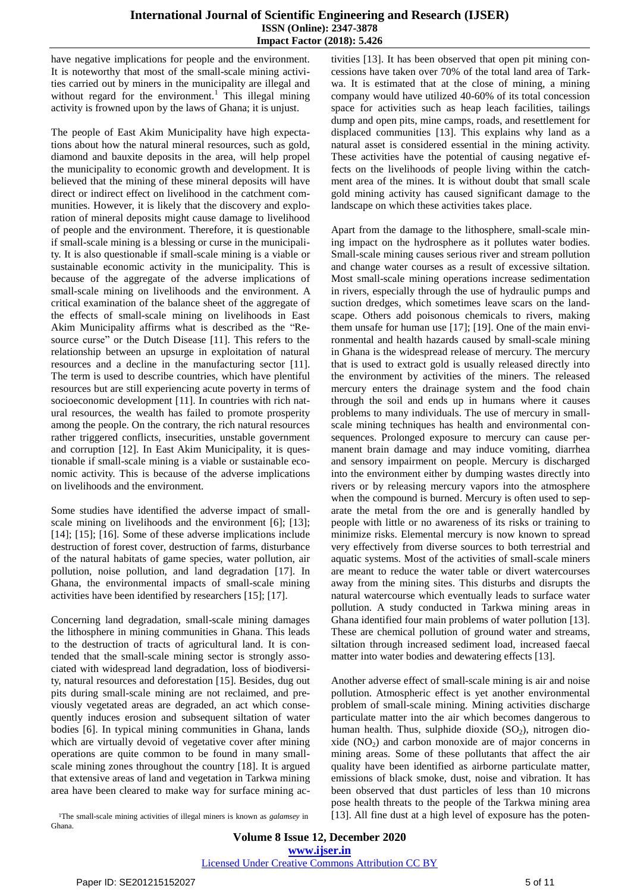#### **International Journal of Scientific Engineering and Research (IJSER) ISSN (Online): 2347-3878 Impact Factor (2018): 5.426**

have negative implications for people and the environment. It is noteworthy that most of the small-scale mining activities carried out by miners in the municipality are illegal and without regard for the environment.<sup>1</sup> This illegal mining activity is frowned upon by the laws of Ghana; it is unjust.

The people of East Akim Municipality have high expectations about how the natural mineral resources, such as gold, diamond and bauxite deposits in the area, will help propel the municipality to economic growth and development. It is believed that the mining of these mineral deposits will have direct or indirect effect on livelihood in the catchment communities. However, it is likely that the discovery and exploration of mineral deposits might cause damage to livelihood of people and the environment. Therefore, it is questionable if small-scale mining is a blessing or curse in the municipality. It is also questionable if small-scale mining is a viable or sustainable economic activity in the municipality. This is because of the aggregate of the adverse implications of small-scale mining on livelihoods and the environment. A critical examination of the balance sheet of the aggregate of the effects of small-scale mining on livelihoods in East Akim Municipality affirms what is described as the "Resource curse" or the Dutch Disease [11]. This refers to the relationship between an upsurge in exploitation of natural resources and a decline in the manufacturing sector [11]. The term is used to describe countries, which have plentiful resources but are still experiencing acute poverty in terms of socioeconomic development [11]. In countries with rich natural resources, the wealth has failed to promote prosperity among the people. On the contrary, the rich natural resources rather triggered conflicts, insecurities, unstable government and corruption [12]. In East Akim Municipality, it is questionable if small-scale mining is a viable or sustainable economic activity. This is because of the adverse implications on livelihoods and the environment.

Some studies have identified the adverse impact of smallscale mining on livelihoods and the environment [6]; [13]; [14]; [15]; [16]. Some of these adverse implications include destruction of forest cover, destruction of farms, disturbance of the natural habitats of game species, water pollution, air pollution, noise pollution, and land degradation [17]. In Ghana, the environmental impacts of small-scale mining activities have been identified by researchers [15]; [17].

Concerning land degradation, small-scale mining damages the lithosphere in mining communities in Ghana. This leads to the destruction of tracts of agricultural land. It is contended that the small-scale mining sector is strongly associated with widespread land degradation, loss of biodiversity, natural resources and deforestation [15]. Besides, dug out pits during small-scale mining are not reclaimed, and previously vegetated areas are degraded, an act which consequently induces erosion and subsequent siltation of water bodies [6]. In typical mining communities in Ghana, lands which are virtually devoid of vegetative cover after mining operations are quite common to be found in many smallscale mining zones throughout the country [18]. It is argued that extensive areas of land and vegetation in Tarkwa mining area have been cleared to make way for surface mining ac-

tivities [13]. It has been observed that open pit mining concessions have taken over 70% of the total land area of Tarkwa. It is estimated that at the close of mining, a mining company would have utilized 40-60% of its total concession space for activities such as heap leach facilities, tailings dump and open pits, mine camps, roads, and resettlement for displaced communities [13]. This explains why land as a natural asset is considered essential in the mining activity. These activities have the potential of causing negative effects on the livelihoods of people living within the catchment area of the mines. It is without doubt that small scale gold mining activity has caused significant damage to the landscape on which these activities takes place.

Apart from the damage to the lithosphere, small-scale mining impact on the hydrosphere as it pollutes water bodies. Small-scale mining causes serious river and stream pollution and change water courses as a result of excessive siltation. Most small-scale mining operations increase sedimentation in rivers, especially through the use of hydraulic pumps and suction dredges, which sometimes leave scars on the landscape. Others add poisonous chemicals to rivers, making them unsafe for human use [17]; [19]. One of the main environmental and health hazards caused by small-scale mining in Ghana is the widespread release of mercury. The mercury that is used to extract gold is usually released directly into the environment by activities of the miners. The released mercury enters the drainage system and the food chain through the soil and ends up in humans where it causes problems to many individuals. The use of mercury in smallscale mining techniques has health and environmental consequences. Prolonged exposure to mercury can cause permanent brain damage and may induce vomiting, diarrhea and sensory impairment on people. Mercury is discharged into the environment either by dumping wastes directly into rivers or by releasing mercury vapors into the atmosphere when the compound is burned. Mercury is often used to separate the metal from the ore and is generally handled by people with little or no awareness of its risks or training to minimize risks. Elemental mercury is now known to spread very effectively from diverse sources to both terrestrial and aquatic systems. Most of the activities of small-scale miners are meant to reduce the water table or divert watercourses away from the mining sites. This disturbs and disrupts the natural watercourse which eventually leads to surface water pollution. A study conducted in Tarkwa mining areas in Ghana identified four main problems of water pollution [13]. These are chemical pollution of ground water and streams, siltation through increased sediment load, increased faecal matter into water bodies and dewatering effects [13].

Another adverse effect of small-scale mining is air and noise pollution. Atmospheric effect is yet another environmental problem of small-scale mining. Mining activities discharge particulate matter into the air which becomes dangerous to human health. Thus, sulphide dioxide  $(SO<sub>2</sub>)$ , nitrogen dioxide  $(NO<sub>2</sub>)$  and carbon monoxide are of major concerns in mining areas. Some of these pollutants that affect the air quality have been identified as airborne particulate matter, emissions of black smoke, dust, noise and vibration. It has been observed that dust particles of less than 10 microns pose health threats to the people of the Tarkwa mining area [13]. All fine dust at a high level of exposure has the poten-

<sup>1</sup>The small-scale mining activities of illegal miners is known as *galamsey* in Ghana.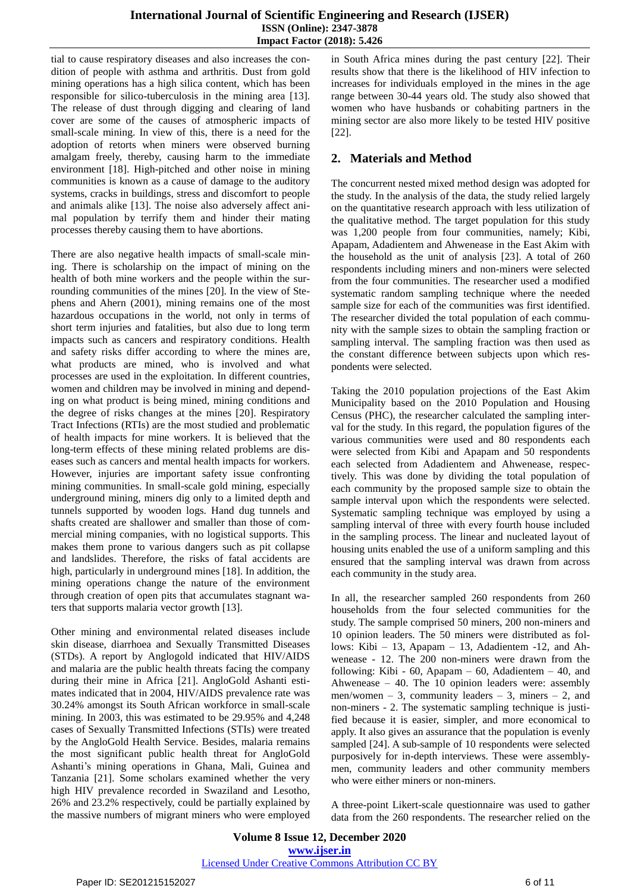tial to cause respiratory diseases and also increases the condition of people with asthma and arthritis. Dust from gold mining operations has a high silica content, which has been responsible for silico-tuberculosis in the mining area [13]. The release of dust through digging and clearing of land cover are some of the causes of atmospheric impacts of small-scale mining. In view of this, there is a need for the adoption of retorts when miners were observed burning amalgam freely, thereby, causing harm to the immediate environment [18]. High-pitched and other noise in mining communities is known as a cause of damage to the auditory systems, cracks in buildings, stress and discomfort to people and animals alike [13]. The noise also adversely affect animal population by terrify them and hinder their mating processes thereby causing them to have abortions.

There are also negative health impacts of small-scale mining. There is scholarship on the impact of mining on the health of both mine workers and the people within the surrounding communities of the mines [20]. In the view of Stephens and Ahern (2001), mining remains one of the most hazardous occupations in the world, not only in terms of short term injuries and fatalities, but also due to long term impacts such as cancers and respiratory conditions. Health and safety risks differ according to where the mines are, what products are mined, who is involved and what processes are used in the exploitation. In different countries, women and children may be involved in mining and depending on what product is being mined, mining conditions and the degree of risks changes at the mines [20]. Respiratory Tract Infections (RTIs) are the most studied and problematic of health impacts for mine workers. It is believed that the long-term effects of these mining related problems are diseases such as cancers and mental health impacts for workers. However, injuries are important safety issue confronting mining communities. In small-scale gold mining, especially underground mining, miners dig only to a limited depth and tunnels supported by wooden logs. Hand dug tunnels and shafts created are shallower and smaller than those of commercial mining companies, with no logistical supports. This makes them prone to various dangers such as pit collapse and landslides. Therefore, the risks of fatal accidents are high, particularly in underground mines [18]. In addition, the mining operations change the nature of the environment through creation of open pits that accumulates stagnant waters that supports malaria vector growth [13].

Other mining and environmental related diseases include skin disease, diarrhoea and Sexually Transmitted Diseases (STDs). A report by Anglogold indicated that HIV/AIDS and malaria are the public health threats facing the company during their mine in Africa [21]. AngloGold Ashanti estimates indicated that in 2004, HIV/AIDS prevalence rate was 30.24% amongst its South African workforce in small-scale mining. In 2003, this was estimated to be 29.95% and 4,248 cases of Sexually Transmitted Infections (STIs) were treated by the AngloGold Health Service. Besides, malaria remains the most significant public health threat for AngloGold Ashanti's mining operations in Ghana, Mali, Guinea and Tanzania [21]. Some scholars examined whether the very high HIV prevalence recorded in Swaziland and Lesotho, 26% and 23.2% respectively, could be partially explained by the massive numbers of migrant miners who were employed

in South Africa mines during the past century [22]. Their results show that there is the likelihood of HIV infection to increases for individuals employed in the mines in the age range between 30-44 years old. The study also showed that women who have husbands or cohabiting partners in the mining sector are also more likely to be tested HIV positive [22].

# **2. Materials and Method**

The concurrent nested mixed method design was adopted for the study. In the analysis of the data, the study relied largely on the quantitative research approach with less utilization of the qualitative method. The target population for this study was 1,200 people from four communities, namely; Kibi, Apapam, Adadientem and Ahwenease in the East Akim with the household as the unit of analysis [23]. A total of 260 respondents including miners and non-miners were selected from the four communities. The researcher used a modified systematic random sampling technique where the needed sample size for each of the communities was first identified. The researcher divided the total population of each community with the sample sizes to obtain the sampling fraction or sampling interval. The sampling fraction was then used as the constant difference between subjects upon which respondents were selected.

Taking the 2010 population projections of the East Akim Municipality based on the 2010 Population and Housing Census (PHC), the researcher calculated the sampling interval for the study. In this regard, the population figures of the various communities were used and 80 respondents each were selected from Kibi and Apapam and 50 respondents each selected from Adadientem and Ahwenease, respectively. This was done by dividing the total population of each community by the proposed sample size to obtain the sample interval upon which the respondents were selected. Systematic sampling technique was employed by using a sampling interval of three with every fourth house included in the sampling process. The linear and nucleated layout of housing units enabled the use of a uniform sampling and this ensured that the sampling interval was drawn from across each community in the study area.

In all, the researcher sampled 260 respondents from 260 households from the four selected communities for the study. The sample comprised 50 miners, 200 non-miners and 10 opinion leaders. The 50 miners were distributed as follows: Kibi – 13, Apapam – 13, Adadientem -12, and Ahwenease - 12. The 200 non-miners were drawn from the following: Kibi - 60, Apapam – 60, Adadientem – 40, and Ahwenease – 40. The 10 opinion leaders were: assembly men/women – 3, community leaders – 3, miners – 2, and non-miners - 2. The systematic sampling technique is justified because it is easier, simpler, and more economical to apply. It also gives an assurance that the population is evenly sampled [24]. A sub-sample of 10 respondents were selected purposively for in-depth interviews. These were assemblymen, community leaders and other community members who were either miners or non-miners.

A three-point Likert-scale questionnaire was used to gather data from the 260 respondents. The researcher relied on the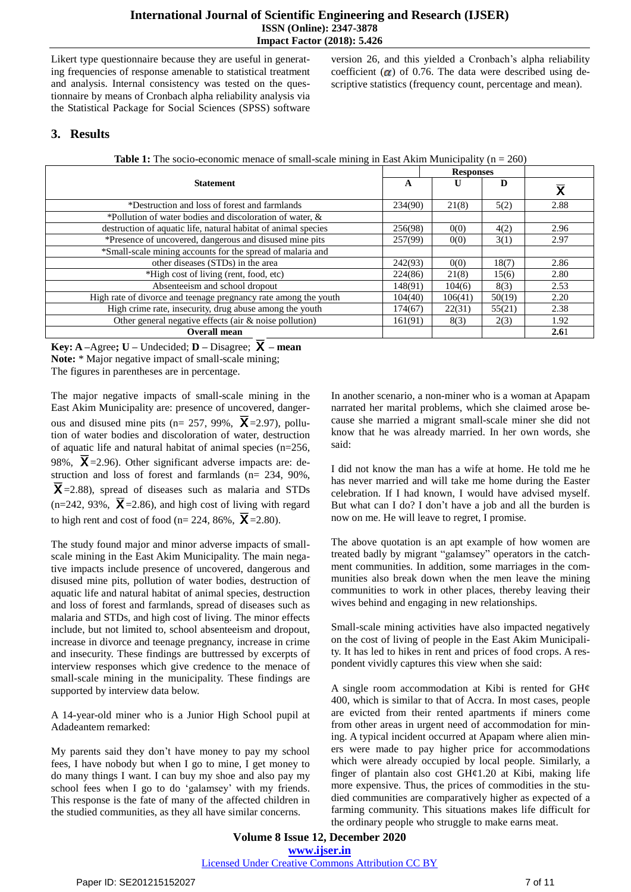Likert type questionnaire because they are useful in generating frequencies of response amenable to statistical treatment and analysis. Internal consistency was tested on the questionnaire by means of Cronbach alpha reliability analysis via the Statistical Package for Social Sciences (SPSS) software

version 26, and this yielded a Cronbach"s alpha reliability coefficient  $\alpha$ ) of 0.76. The data were described using descriptive statistics (frequency count, percentage and mean).

## **3. Results**

|  |  | <b>Table 1:</b> The socio-economic menace of small-scale mining in East Akim Municipality ( $n = 260$ ) |  |  |  |  |  |  |
|--|--|---------------------------------------------------------------------------------------------------------|--|--|--|--|--|--|
|  |  |                                                                                                         |  |  |  |  |  |  |

|                                                                 |         | <b>Responses</b> |        |                         |
|-----------------------------------------------------------------|---------|------------------|--------|-------------------------|
| <b>Statement</b>                                                | A       | U                | D      | $\overline{\mathsf{x}}$ |
| *Destruction and loss of forest and farmlands                   | 234(90) | 21(8)            | 5(2)   | 2.88                    |
| *Pollution of water bodies and discoloration of water, &        |         |                  |        |                         |
| destruction of aquatic life, natural habitat of animal species  | 256(98) | 0(0)             | 4(2)   | 2.96                    |
| *Presence of uncovered, dangerous and disused mine pits         | 257(99) | 0(0)             | 3(1)   | 2.97                    |
| *Small-scale mining accounts for the spread of malaria and      |         |                  |        |                         |
| other diseases (STDs) in the area                               | 242(93) | 0(0)             | 18(7)  | 2.86                    |
| *High cost of living (rent, food, etc)                          | 224(86) | 21(8)            | 15(6)  | 2.80                    |
| Absenteeism and school dropout                                  | 148(91) | 104(6)           | 8(3)   | 2.53                    |
| High rate of divorce and teenage pregnancy rate among the youth | 104(40) | 106(41)          | 50(19) | 2.20                    |
| High crime rate, insecurity, drug abuse among the youth         | 174(67) | 22(31)           | 55(21) | 2.38                    |
| Other general negative effects (air $\&$ noise pollution)       | 161(91) | 8(3)             | 2(3)   | 1.92                    |
| <b>Overall mean</b>                                             |         |                  |        | 2.61                    |

**Key: A** –Agree; **U** – Undecided; **D** – Disagree;  $\overline{X}$  – mean Note: \* Major negative impact of small-scale mining; The figures in parentheses are in percentage.

The major negative impacts of small-scale mining in the East Akim Municipality are: presence of uncovered, dangerous and disused mine pits (n= 257, 99%,  $\overline{X}$ =2.97), pollution of water bodies and discoloration of water, destruction of aquatic life and natural habitat of animal species (n=256, 98%,  $X = 2.96$ ). Other significant adverse impacts are: destruction and loss of forest and farmlands (n= 234, 90%,  $X = 2.88$ , spread of diseases such as malaria and STDs  $(n=242, 93\%, \overline{X} = 2.86)$ , and high cost of living with regard to high rent and cost of food (n= 224, 86%,  $\overline{X}$  = 2.80).

The study found major and minor adverse impacts of smallscale mining in the East Akim Municipality. The main negative impacts include presence of uncovered, dangerous and disused mine pits, pollution of water bodies, destruction of aquatic life and natural habitat of animal species, destruction and loss of forest and farmlands, spread of diseases such as malaria and STDs, and high cost of living. The minor effects include, but not limited to, school absenteeism and dropout, increase in divorce and teenage pregnancy, increase in crime and insecurity. These findings are buttressed by excerpts of interview responses which give credence to the menace of small-scale mining in the municipality. These findings are supported by interview data below.

A 14-year-old miner who is a Junior High School pupil at Adadeantem remarked:

My parents said they don"t have money to pay my school fees, I have nobody but when I go to mine, I get money to do many things I want. I can buy my shoe and also pay my school fees when I go to do 'galamsey' with my friends. This response is the fate of many of the affected children in the studied communities, as they all have similar concerns.

In another scenario, a non-miner who is a woman at Apapam narrated her marital problems, which she claimed arose because she married a migrant small-scale miner she did not know that he was already married. In her own words, she said:

I did not know the man has a wife at home. He told me he has never married and will take me home during the Easter celebration. If I had known, I would have advised myself. But what can I do? I don't have a job and all the burden is now on me. He will leave to regret, I promise.

The above quotation is an apt example of how women are treated badly by migrant "galamsey" operators in the catchment communities. In addition, some marriages in the communities also break down when the men leave the mining communities to work in other places, thereby leaving their wives behind and engaging in new relationships.

Small-scale mining activities have also impacted negatively on the cost of living of people in the East Akim Municipality. It has led to hikes in rent and prices of food crops. A respondent vividly captures this view when she said:

A single room accommodation at Kibi is rented for GH¢ 400, which is similar to that of Accra. In most cases, people are evicted from their rented apartments if miners come from other areas in urgent need of accommodation for mining. A typical incident occurred at Apapam where alien miners were made to pay higher price for accommodations which were already occupied by local people. Similarly, a finger of plantain also cost GH¢1.20 at Kibi, making life more expensive. Thus, the prices of commodities in the studied communities are comparatively higher as expected of a farming community. This situations makes life difficult for the ordinary people who struggle to make earns meat.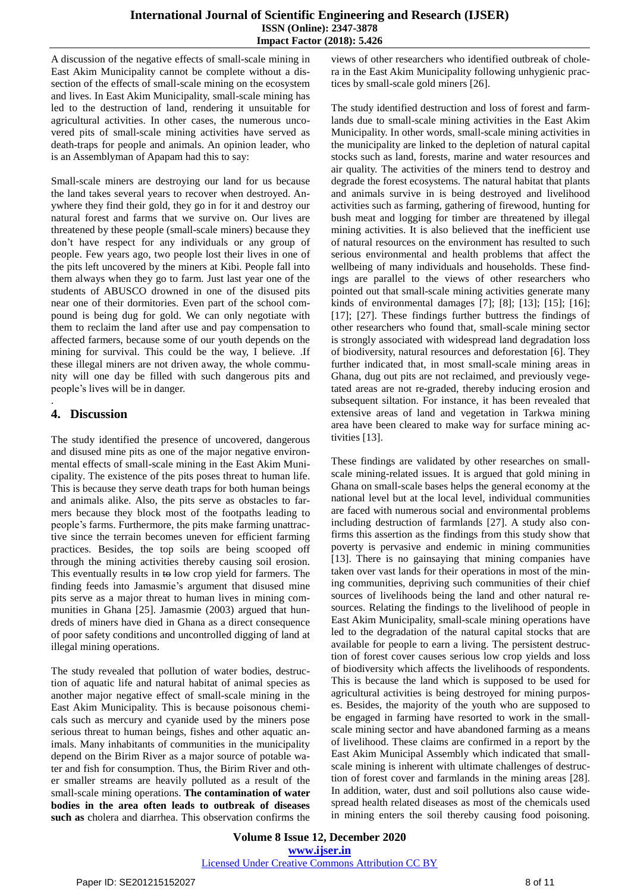A discussion of the negative effects of small-scale mining in East Akim Municipality cannot be complete without a dissection of the effects of small-scale mining on the ecosystem and lives. In East Akim Municipality, small-scale mining has led to the destruction of land, rendering it unsuitable for agricultural activities. In other cases, the numerous uncovered pits of small-scale mining activities have served as death-traps for people and animals. An opinion leader, who is an Assemblyman of Apapam had this to say:

Small-scale miners are destroying our land for us because the land takes several years to recover when destroyed. Anywhere they find their gold, they go in for it and destroy our natural forest and farms that we survive on. Our lives are threatened by these people (small-scale miners) because they don"t have respect for any individuals or any group of people. Few years ago, two people lost their lives in one of the pits left uncovered by the miners at Kibi. People fall into them always when they go to farm. Just last year one of the students of ABUSCO drowned in one of the disused pits near one of their dormitories. Even part of the school compound is being dug for gold. We can only negotiate with them to reclaim the land after use and pay compensation to affected farmers, because some of our youth depends on the mining for survival. This could be the way, I believe. .If these illegal miners are not driven away, the whole community will one day be filled with such dangerous pits and people"s lives will be in danger.

# **4. Discussion**

.

The study identified the presence of uncovered, dangerous and disused mine pits as one of the major negative environmental effects of small-scale mining in the East Akim Municipality. The existence of the pits poses threat to human life. This is because they serve death traps for both human beings and animals alike. Also, the pits serve as obstacles to farmers because they block most of the footpaths leading to people"s farms. Furthermore, the pits make farming unattractive since the terrain becomes uneven for efficient farming practices. Besides, the top soils are being scooped off through the mining activities thereby causing soil erosion. This eventually results in  $\leftrightarrow$  low crop yield for farmers. The finding feeds into Jamasmie's argument that disused mine pits serve as a major threat to human lives in mining communities in Ghana [25]. Jamasmie (2003) argued that hundreds of miners have died in Ghana as a direct consequence of poor safety conditions and uncontrolled digging of land at illegal mining operations.

The study revealed that pollution of water bodies, destruction of aquatic life and natural habitat of animal species as another major negative effect of small-scale mining in the East Akim Municipality. This is because poisonous chemicals such as mercury and cyanide used by the miners pose serious threat to human beings, fishes and other aquatic animals. Many inhabitants of communities in the municipality depend on the Birim River as a major source of potable water and fish for consumption. Thus, the Birim River and other smaller streams are heavily polluted as a result of the small-scale mining operations. **The contamination of water bodies in the area often leads to outbreak of diseases such as** cholera and diarrhea. This observation confirms the

views of other researchers who identified outbreak of cholera in the East Akim Municipality following unhygienic practices by small-scale gold miners [26].

The study identified destruction and loss of forest and farmlands due to small-scale mining activities in the East Akim Municipality. In other words, small-scale mining activities in the municipality are linked to the depletion of natural capital stocks such as land, forests, marine and water resources and air quality. The activities of the miners tend to destroy and degrade the forest ecosystems. The natural habitat that plants and animals survive in is being destroyed and livelihood activities such as farming, gathering of firewood, hunting for bush meat and logging for timber are threatened by illegal mining activities. It is also believed that the inefficient use of natural resources on the environment has resulted to such serious environmental and health problems that affect the wellbeing of many individuals and households. These findings are parallel to the views of other researchers who pointed out that small-scale mining activities generate many kinds of environmental damages [7]; [8]; [13]; [15]; [16]; [17]; [27]. These findings further buttress the findings of other researchers who found that, small-scale mining sector is strongly associated with widespread land degradation loss of biodiversity, natural resources and deforestation [6]. They further indicated that, in most small-scale mining areas in Ghana, dug out pits are not reclaimed, and previously vegetated areas are not re-graded, thereby inducing erosion and subsequent siltation. For instance, it has been revealed that extensive areas of land and vegetation in Tarkwa mining area have been cleared to make way for surface mining activities [13].

These findings are validated by other researches on smallscale mining-related issues. It is argued that gold mining in Ghana on small-scale bases helps the general economy at the national level but at the local level, individual communities are faced with numerous social and environmental problems including destruction of farmlands [27]. A study also confirms this assertion as the findings from this study show that poverty is pervasive and endemic in mining communities [13]. There is no gainsaying that mining companies have taken over vast lands for their operations in most of the mining communities, depriving such communities of their chief sources of livelihoods being the land and other natural resources. Relating the findings to the livelihood of people in East Akim Municipality, small-scale mining operations have led to the degradation of the natural capital stocks that are available for people to earn a living. The persistent destruction of forest cover causes serious low crop yields and loss of biodiversity which affects the livelihoods of respondents. This is because the land which is supposed to be used for agricultural activities is being destroyed for mining purposes. Besides, the majority of the youth who are supposed to be engaged in farming have resorted to work in the smallscale mining sector and have abandoned farming as a means of livelihood. These claims are confirmed in a report by the East Akim Municipal Assembly which indicated that smallscale mining is inherent with ultimate challenges of destruction of forest cover and farmlands in the mining areas [28]. In addition, water, dust and soil pollutions also cause widespread health related diseases as most of the chemicals used in mining enters the soil thereby causing food poisoning.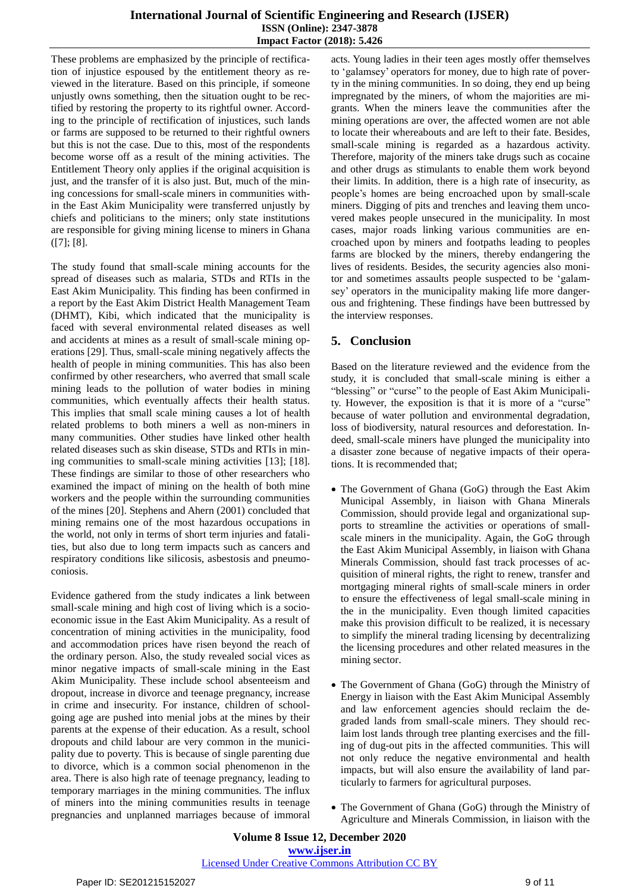These problems are emphasized by the principle of rectification of injustice espoused by the entitlement theory as reviewed in the literature. Based on this principle, if someone unjustly owns something, then the situation ought to be rectified by restoring the property to its rightful owner. According to the principle of rectification of injustices, such lands or farms are supposed to be returned to their rightful owners but this is not the case. Due to this, most of the respondents become worse off as a result of the mining activities. The Entitlement Theory only applies if the original acquisition is just, and the transfer of it is also just. But, much of the mining concessions for small-scale miners in communities within the East Akim Municipality were transferred unjustly by chiefs and politicians to the miners; only state institutions are responsible for giving mining license to miners in Ghana  $([7]; [8].$ 

The study found that small-scale mining accounts for the spread of diseases such as malaria, STDs and RTIs in the East Akim Municipality. This finding has been confirmed in a report by the East Akim District Health Management Team (DHMT), Kibi, which indicated that the municipality is faced with several environmental related diseases as well and accidents at mines as a result of small-scale mining operations [29]. Thus, small-scale mining negatively affects the health of people in mining communities. This has also been confirmed by other researchers, who averred that small scale mining leads to the pollution of water bodies in mining communities, which eventually affects their health status. This implies that small scale mining causes a lot of health related problems to both miners a well as non-miners in many communities. Other studies have linked other health related diseases such as skin disease, STDs and RTIs in mining communities to small-scale mining activities [13]; [18]. These findings are similar to those of other researchers who examined the impact of mining on the health of both mine workers and the people within the surrounding communities of the mines [20]. Stephens and Ahern (2001) concluded that mining remains one of the most hazardous occupations in the world, not only in terms of short term injuries and fatalities, but also due to long term impacts such as cancers and respiratory conditions like silicosis, asbestosis and pneumoconiosis.

Evidence gathered from the study indicates a link between small-scale mining and high cost of living which is a socioeconomic issue in the East Akim Municipality. As a result of concentration of mining activities in the municipality, food and accommodation prices have risen beyond the reach of the ordinary person. Also, the study revealed social vices as minor negative impacts of small-scale mining in the East Akim Municipality. These include school absenteeism and dropout, increase in divorce and teenage pregnancy, increase in crime and insecurity. For instance, children of schoolgoing age are pushed into menial jobs at the mines by their parents at the expense of their education. As a result, school dropouts and child labour are very common in the municipality due to poverty. This is because of single parenting due to divorce, which is a common social phenomenon in the area. There is also high rate of teenage pregnancy, leading to temporary marriages in the mining communities. The influx of miners into the mining communities results in teenage pregnancies and unplanned marriages because of immoral

acts. Young ladies in their teen ages mostly offer themselves to "galamsey" operators for money, due to high rate of poverty in the mining communities. In so doing, they end up being impregnated by the miners, of whom the majorities are migrants. When the miners leave the communities after the mining operations are over, the affected women are not able to locate their whereabouts and are left to their fate. Besides, small-scale mining is regarded as a hazardous activity. Therefore, majority of the miners take drugs such as cocaine and other drugs as stimulants to enable them work beyond their limits. In addition, there is a high rate of insecurity, as people"s homes are being encroached upon by small-scale miners. Digging of pits and trenches and leaving them uncovered makes people unsecured in the municipality. In most cases, major roads linking various communities are encroached upon by miners and footpaths leading to peoples farms are blocked by the miners, thereby endangering the lives of residents. Besides, the security agencies also monitor and sometimes assaults people suspected to be "galamsey' operators in the municipality making life more dangerous and frightening. These findings have been buttressed by the interview responses.

# **5. Conclusion**

Based on the literature reviewed and the evidence from the study, it is concluded that small-scale mining is either a "blessing" or "curse" to the people of East Akim Municipality. However, the exposition is that it is more of a "curse" because of water pollution and environmental degradation, loss of biodiversity, natural resources and deforestation. Indeed, small-scale miners have plunged the municipality into a disaster zone because of negative impacts of their operations. It is recommended that;

- The Government of Ghana (GoG) through the East Akim Municipal Assembly, in liaison with Ghana Minerals Commission, should provide legal and organizational supports to streamline the activities or operations of smallscale miners in the municipality. Again, the GoG through the East Akim Municipal Assembly, in liaison with Ghana Minerals Commission, should fast track processes of acquisition of mineral rights, the right to renew, transfer and mortgaging mineral rights of small-scale miners in order to ensure the effectiveness of legal small-scale mining in the in the municipality. Even though limited capacities make this provision difficult to be realized, it is necessary to simplify the mineral trading licensing by decentralizing the licensing procedures and other related measures in the mining sector.
- The Government of Ghana (GoG) through the Ministry of Energy in liaison with the East Akim Municipal Assembly and law enforcement agencies should reclaim the degraded lands from small-scale miners. They should reclaim lost lands through tree planting exercises and the filling of dug-out pits in the affected communities. This will not only reduce the negative environmental and health impacts, but will also ensure the availability of land particularly to farmers for agricultural purposes.
- The Government of Ghana (GoG) through the Ministry of Agriculture and Minerals Commission, in liaison with the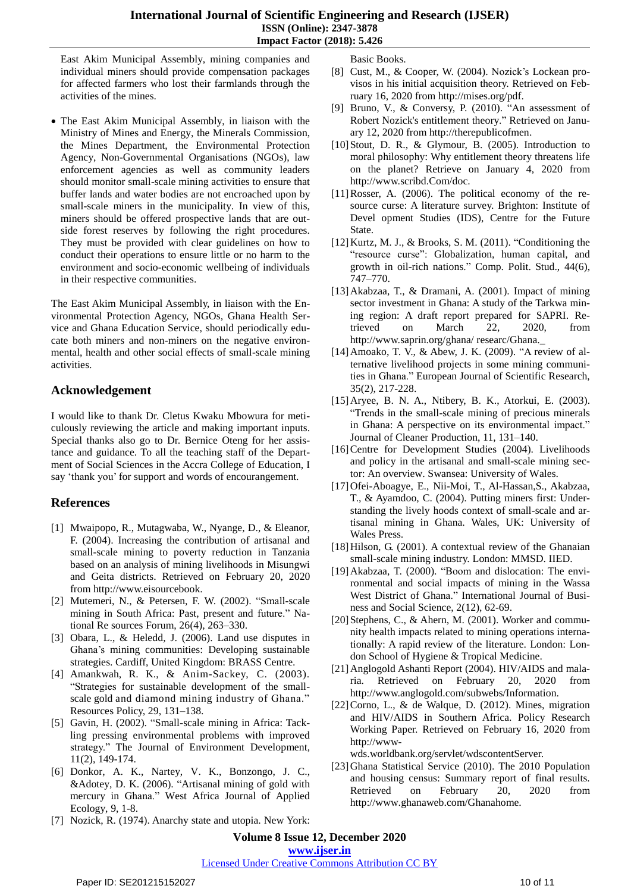#### **International Journal of Scientific Engineering and Research (IJSER) ISSN (Online): 2347-3878 Impact Factor (2018): 5.426**

East Akim Municipal Assembly, mining companies and individual miners should provide compensation packages for affected farmers who lost their farmlands through the activities of the mines.

 The East Akim Municipal Assembly, in liaison with the Ministry of Mines and Energy, the Minerals Commission, the Mines Department, the Environmental Protection Agency, Non-Governmental Organisations (NGOs), law enforcement agencies as well as community leaders should monitor small-scale mining activities to ensure that buffer lands and water bodies are not encroached upon by small-scale miners in the municipality. In view of this, miners should be offered prospective lands that are outside forest reserves by following the right procedures. They must be provided with clear guidelines on how to conduct their operations to ensure little or no harm to the environment and socio-economic wellbeing of individuals in their respective communities.

The East Akim Municipal Assembly, in liaison with the Environmental Protection Agency, NGOs, Ghana Health Service and Ghana Education Service, should periodically educate both miners and non-miners on the negative environmental, health and other social effects of small-scale mining activities.

### **Acknowledgement**

I would like to thank Dr. Cletus Kwaku Mbowura for meticulously reviewing the article and making important inputs. Special thanks also go to Dr. Bernice Oteng for her assistance and guidance. To all the teaching staff of the Department of Social Sciences in the Accra College of Education, I say "thank you" for support and words of encourangement.

## **References**

- [1] Mwaipopo, R., Mutagwaba, W., Nyange, D., & Eleanor, F. (2004). Increasing the contribution of artisanal and small-scale mining to poverty reduction in Tanzania based on an analysis of mining livelihoods in Misungwi and Geita districts. Retrieved on February 20, 2020 from http://www.eisourcebook.
- [2] Mutemeri, N., & Petersen, F. W. (2002). "Small-scale mining in South Africa: Past, present and future." National Re sources Forum, 26(4), 263–330.
- [3] Obara, L., & Heledd, J. (2006). Land use disputes in Ghana"s mining communities: Developing sustainable strategies. Cardiff, United Kingdom: BRASS Centre.
- [4] Amankwah, R. K., & Anim-Sackey, C. (2003). "Strategies for sustainable development of the smallscale gold and diamond mining industry of Ghana." Resources Policy, 29, 131–138.
- [5] Gavin, H. (2002). "Small-scale mining in Africa: Tackling pressing environmental problems with improved strategy." The Journal of Environment Development, 11(2), 149-174.
- [6] Donkor, A. K., Nartey, V. K., Bonzongo, J. C., &Adotey, D. K. (2006). "Artisanal mining of gold with mercury in Ghana." West Africa Journal of Applied Ecology, 9, 1-8.
- [7] Nozick, R. (1974). Anarchy state and utopia. New York:

Basic Books.

- [8] Cust, M., & Cooper, W. (2004). Nozick's Lockean provisos in his initial acquisition theory. Retrieved on February 16, 2020 from [http://mises.org/pdf.](http://mises.org/pdf)
- [9] Bruno, V., & Conversy, P. (2010). "An [assessment](http://therepublicofmen.blogspot.com/2010/05/assessment-of-robert-nozicks-political.html) of Robert Nozick's [entitlement](http://therepublicofmen.blogspot.com/2010/05/assessment-of-robert-nozicks-political.html) theory." Retrieved on January 12, 2020 from [http://therepublicofmen.](http://therepublicofmen/)
- [10]Stout, D. R., & Glymour, B. (2005). Introduction to moral philosophy: Why entitlement theory threatens life on the planet? Retrieve on January 4, 2020 from http://www.scribd.Com/doc.
- [11]Rosser, A. (2006). The political economy of the resource curse: A literature survey. Brighton: Institute of Devel opment Studies (IDS), Centre for the Future State.
- [12]Kurtz, M. J., & Brooks, S. M. (2011). "Conditioning the "resource curse": Globalization, human capital, and growth in oil-rich nations." Comp. Polit. Stud., 44(6), 747–770.
- [13]Akabzaa, T., & Dramani, A. (2001). Impact of mining sector investment in Ghana: A study of the Tarkwa mining region: A draft report prepared for SAPRI. Retrieved on March 22, 2020, from http://www.saprin.org/ghana/ researc/Ghana.\_
- [14]Amoako, T. V., & Abew, J. K. (2009). "A review of alternative livelihood projects in some mining communities in Ghana." European Journal of Scientific Research, 35(2), 217-228.
- [15]Aryee, B. N. A., Ntibery, B. K., Atorkui, E. (2003). "Trends in the small-scale mining of precious minerals in Ghana: A perspective on its environmental impact." Journal of Cleaner Production, 11, 131–140.
- [16] Centre for Development Studies (2004). Livelihoods and policy in the artisanal and small-scale mining sector: An overview. Swansea: University of Wales.
- [17]Ofei-Aboagye, E., Nii-Moi, T., Al-Hassan,S., Akabzaa, T., & Ayamdoo, C. (2004). Putting miners first: Understanding the lively hoods context of small-scale and artisanal mining in Ghana. Wales, UK: University of Wales Press.
- [18]Hilson, G. (2001). A contextual review of the Ghanaian small-scale mining industry. London: MMSD. IIED.
- [19]Akabzaa, T. (2000). "Boom and dislocation: The environmental and social impacts of mining in the Wassa West District of Ghana." International Journal of Business and Social Science, 2(12), 62-69.
- [20] Stephens, C., & Ahern, M. (2001). Worker and community health impacts related to mining operations internationally: A rapid review of the literature. London: London School of Hygiene & Tropical Medicine.
- [21]Anglogold Ashanti Report (2004). HIV/AIDS and malaria. Retrieved on February 20, 2020 from http://www.anglogold.com/subwebs/Information.
- $[22]$ Corno, L., & de Walque, D. (2012). Mines, migration and HIV/AIDS in Southern Africa. Policy Research Working Paper. Retrieved on February 16, 2020 from http://www-

wds.worldbank.org/servlet/wdscontentServer.

[23]Ghana Statistical Service (2010). The 2010 Population and housing census: Summary report of final results. Retrieved on February 20, 2020 from http://www.ghanaweb.com/Ghanahome.

**Volume 8 Issue 12, December 2020 www.ijser.in**

## Licensed Under Creative Commons Attribution CC BY